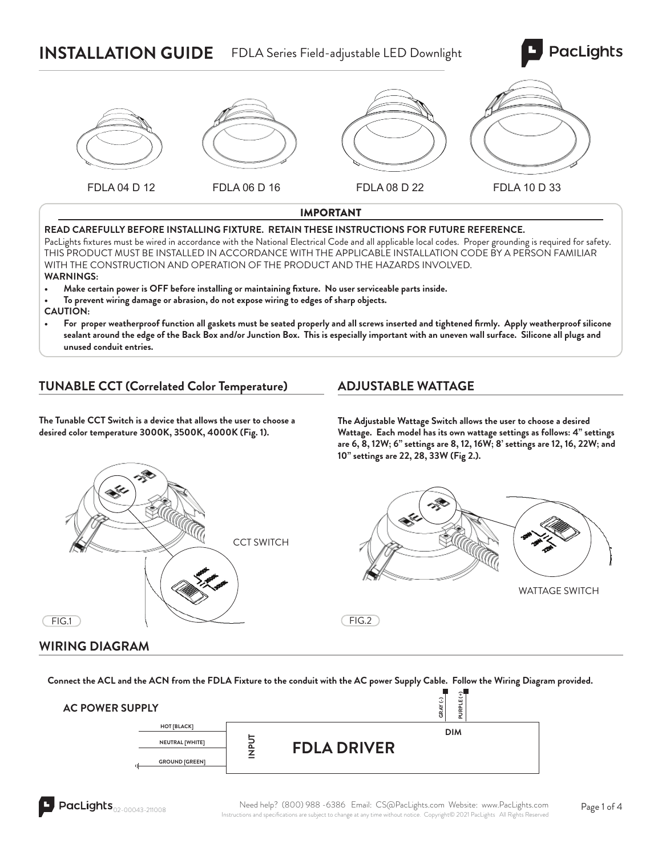# **INSTALLATION GUIDE** FDLA Series Field-adjustable LED Downlight





#### IMPORTANT

#### **READ CAREFULLY BEFORE INSTALLING FIXTURE. RETAIN THESE INSTRUCTIONS FOR FUTURE REFERENCE.**

PacLights fixtures must be wired in accordance with the National Electrical Code and all applicable local codes. Proper grounding is required for safety. THIS PRODUCT MUST BE INSTALLED IN ACCORDANCE WITH THE APPLICABLE INSTALLATION CODE BY A PERSON FAMILIAR WITH THE CONSTRUCTION AND OPERATION OF THE PRODUCT AND THE HAZARDS INVOLVED. **WARNINGS:**

- **Make certain power is OFF before installing or maintaining fi xture. No user serviceable parts inside.**
- **To prevent wiring damage or abrasion, do not expose wiring to edges of sharp objects.**

**CAUTION:**

For proper weatherproof function all gaskets must be seated properly and all screws inserted and tightened firmly. Apply weatherproof silicone **sealant around the edge of the Back Box and/or Junction Box. This is especially important with an uneven wall surface. Silicone all plugs and unused conduit entries.**

### **TUNABLE CCT (Correlated Color Temperature)**

#### **ADJUSTABLE WATTAGE**

**The Tunable CCT Switch is a device that allows the user to choose a desired color temperature 3000K, 3500K, 4000K (Fig. 1).** 

**The Adjustable Wattage Switch allows the user to choose a desired Wattage. Each model has its own wattage settings as follows: 4" settings are 6, 8, 12W; 6" settings are 8, 12, 16W; 8' settings are 12, 16, 22W; and 10" settings are 22, 28, 33W (Fig 2.).**





**GRAY (-)**

 $FIG.1$ 

#### **WIRING DIAGRAM**

**Connect the ACL and the ACN from the FDLA Fixture to the conduit with the AC power Supply Cable. Follow the Wiring Diagram provided.**

#### **AC POWER SUPPLY**

| SUPPLY |                       |               |                    | $\sim$<br>÷<br>C<br>ш<br>GRAY<br>PURP |  |
|--------|-----------------------|---------------|--------------------|---------------------------------------|--|
|        | HOT [BLACK]           |               |                    | <b>DIM</b>                            |  |
|        | NEUTRAL [WHITE]       | ⊢<br>$\Omega$ | <b>FDLA DRIVER</b> |                                       |  |
| 마      | <b>GROUND [GREEN]</b> | ⇁<br>_        |                    |                                       |  |

 $FIG.2$ 

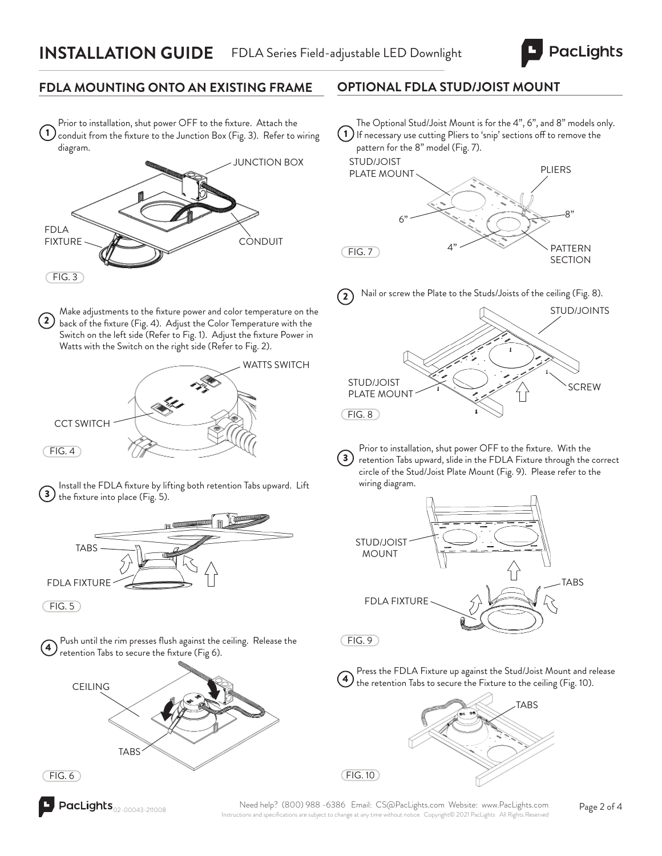

## **FDLA MOUNTING ONTO AN EXISTING FRAME**

Prior to installation, shut power OFF to the fixture. Attach the conduit from the fixture to the Junction Box (Fig. 3). Refer to wiring diagram. 1



Make adjustments to the fixture power and color temperature on the 2) back of the fixture (Fig. 4). Adjust the Color Temperature with the Switch on the left side (Refer to Fig. 1). Adjust the fixture Power in Watts with the Switch on the right side (Refer to Fig. 2).



Install the FDLA fixture by lifting both retention Tabs upward. Lift the fixture into place (Fig. 5). 3



 $(FIG. 5)$ 







## **OPTIONAL FDLA STUD/JOIST MOUNT**

1 If necessary use cutting Pliers to 'snip' sections off to remove the The Optional Stud/Joist Mount is for the 4", 6", and 8" models only. pattern for the 8" model (Fig. 7).







Prior to installation, shut power OFF to the fixture. With the retention Tabs upward, slide in the FDLA Fixture through the correct circle of the Stud/Joist Plate Mount (Fig. 9). Please refer to the wiring diagram.  $\left( 3\right)$ 



 $(FIG. 9)$ 

FIG. 10



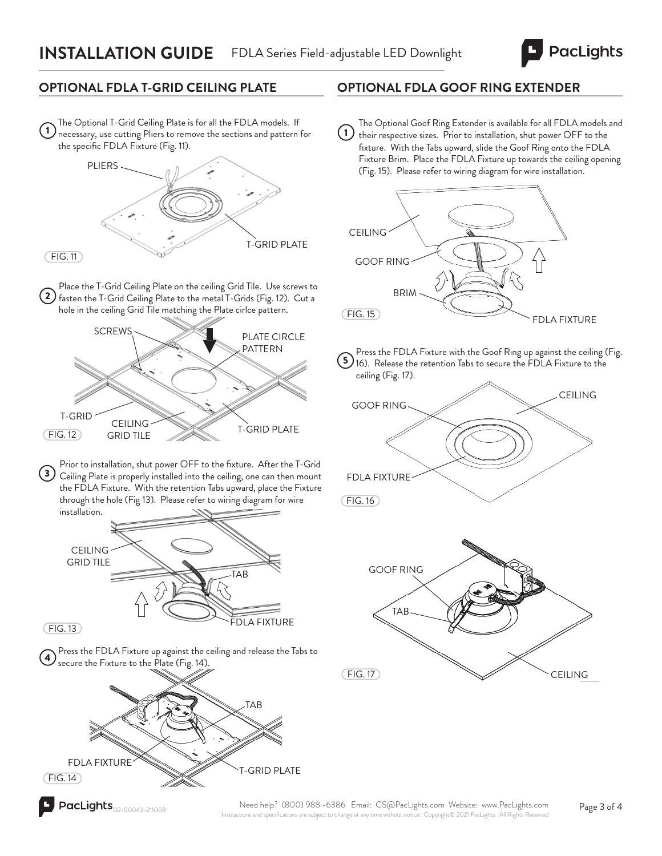

## **OPTIONAL FDLA T-GRID CEILING PLATE**

The Optional T-Grid Ceiling Plate is for all the FDLA models. If 1) The Optional Trust defining Trace is for an the TDE (infodes). In the specific FDLA Fixture (Fig. 11).



2 Place the T-Grid Ceiling Plate on the ceiling Grid Tile. Use screws to fasten the T-Grid Ceiling Plate to the metal T-Grids (Fig. 12). Cut a hole in the ceiling Grid Tile matching the Plate cirlce pattern.



Prior to installation, shut power OFF to the fixture. After the T-Grid 3) Ceiling Plate is properly installed into the ceiling, one can then mount the FDLA Fixture. With the retention Tabs upward, place the Fixture through the hole (Fig 13). Please refer to wiring diagram for wire installation.



 $(FIG. 13)$ 

Press the FDLA Fixture up against the ceiling and release the Tabs to secure the Fixture to the Plate (Fig. 14).



## **OPTIONAL FDLA GOOF RING EXTENDER**

The Optional Goof Ring Extender is available for all FDLA models and their respective sizes. Prior to installation, shut power OFF to the fixture. With the Tabs upward, slide the Goof Ring onto the FDLA Fixture Brim. Place the FDLA Fixture up towards the ceiling opening (Fig. 15). Please refer to wiring diagram for wire installation.  $(1)$ 



Press the FDLA Fixture with the Goof Ring up against the ceiling (Fig. 5). These the retention Tabs to secure the FDLA Fixture to the ceiling (Fig. 17).



TAB  $(FIG. 17)$ CEILING GOOF RING